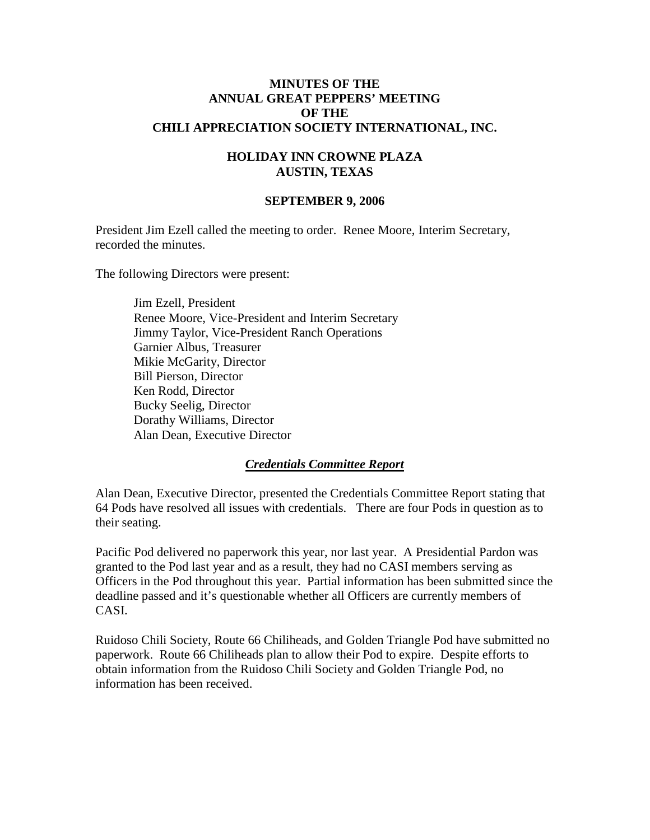#### **MINUTES OF THE ANNUAL GREAT PEPPERS' MEETING OF THE CHILI APPRECIATION SOCIETY INTERNATIONAL, INC.**

#### **HOLIDAY INN CROWNE PLAZA AUSTIN, TEXAS**

#### **SEPTEMBER 9, 2006**

President Jim Ezell called the meeting to order. Renee Moore, Interim Secretary, recorded the minutes.

The following Directors were present:

Jim Ezell, President Renee Moore, Vice-President and Interim Secretary Jimmy Taylor, Vice-President Ranch Operations Garnier Albus, Treasurer Mikie McGarity, Director Bill Pierson, Director Ken Rodd, Director Bucky Seelig, Director Dorathy Williams, Director Alan Dean, Executive Director

#### *Credentials Committee Report*

Alan Dean, Executive Director, presented the Credentials Committee Report stating that 64 Pods have resolved all issues with credentials. There are four Pods in question as to their seating.

Pacific Pod delivered no paperwork this year, nor last year. A Presidential Pardon was granted to the Pod last year and as a result, they had no CASI members serving as Officers in the Pod throughout this year. Partial information has been submitted since the deadline passed and it's questionable whether all Officers are currently members of CASI.

Ruidoso Chili Society, Route 66 Chiliheads, and Golden Triangle Pod have submitted no paperwork. Route 66 Chiliheads plan to allow their Pod to expire. Despite efforts to obtain information from the Ruidoso Chili Society and Golden Triangle Pod, no information has been received.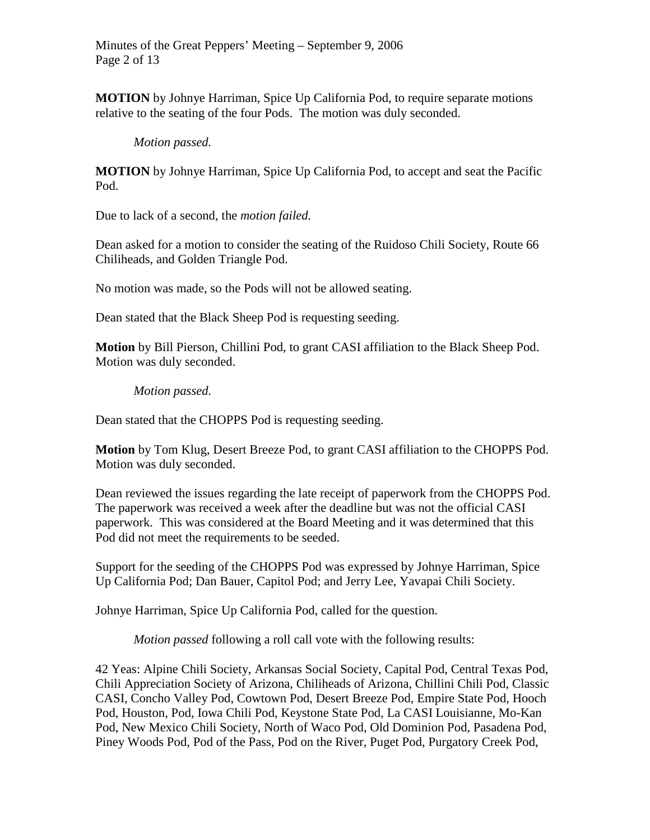Minutes of the Great Peppers' Meeting – September 9, 2006 Page 2 of 13

**MOTION** by Johnye Harriman, Spice Up California Pod, to require separate motions relative to the seating of the four Pods. The motion was duly seconded.

#### *Motion passed.*

**MOTION** by Johnye Harriman, Spice Up California Pod, to accept and seat the Pacific Pod.

Due to lack of a second, the *motion failed.*

Dean asked for a motion to consider the seating of the Ruidoso Chili Society, Route 66 Chiliheads, and Golden Triangle Pod.

No motion was made, so the Pods will not be allowed seating.

Dean stated that the Black Sheep Pod is requesting seeding.

**Motion** by Bill Pierson, Chillini Pod, to grant CASI affiliation to the Black Sheep Pod. Motion was duly seconded.

#### *Motion passed.*

Dean stated that the CHOPPS Pod is requesting seeding.

**Motion** by Tom Klug, Desert Breeze Pod, to grant CASI affiliation to the CHOPPS Pod. Motion was duly seconded.

Dean reviewed the issues regarding the late receipt of paperwork from the CHOPPS Pod. The paperwork was received a week after the deadline but was not the official CASI paperwork. This was considered at the Board Meeting and it was determined that this Pod did not meet the requirements to be seeded.

Support for the seeding of the CHOPPS Pod was expressed by Johnye Harriman, Spice Up California Pod; Dan Bauer, Capitol Pod; and Jerry Lee, Yavapai Chili Society.

Johnye Harriman, Spice Up California Pod, called for the question.

*Motion passed* following a roll call vote with the following results:

42 Yeas: Alpine Chili Society, Arkansas Social Society, Capital Pod, Central Texas Pod, Chili Appreciation Society of Arizona, Chiliheads of Arizona, Chillini Chili Pod, Classic CASI, Concho Valley Pod, Cowtown Pod, Desert Breeze Pod, Empire State Pod, Hooch Pod, Houston, Pod, Iowa Chili Pod, Keystone State Pod, La CASI Louisianne, Mo-Kan Pod, New Mexico Chili Society, North of Waco Pod, Old Dominion Pod, Pasadena Pod, Piney Woods Pod, Pod of the Pass, Pod on the River, Puget Pod, Purgatory Creek Pod,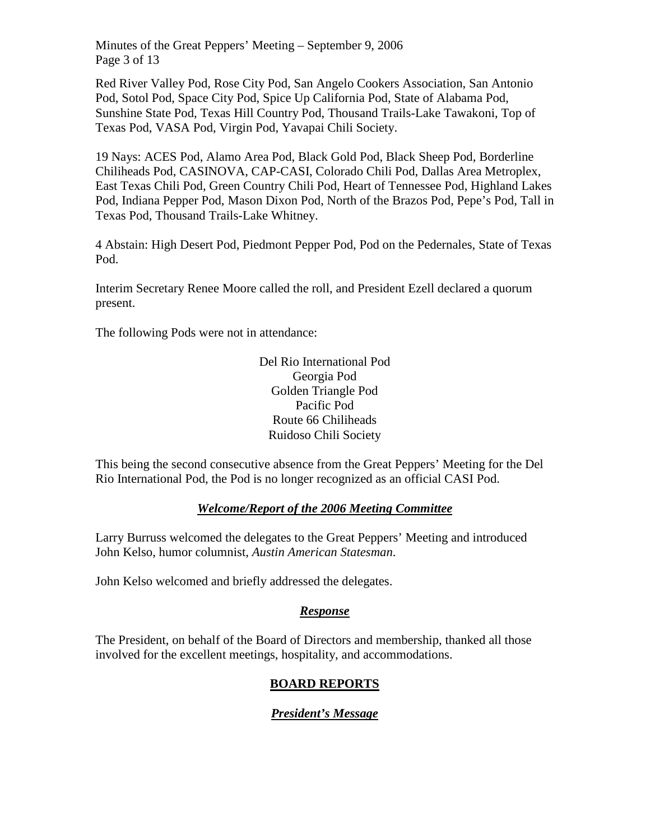Minutes of the Great Peppers' Meeting – September 9, 2006 Page 3 of 13

Red River Valley Pod, Rose City Pod, San Angelo Cookers Association, San Antonio Pod, Sotol Pod, Space City Pod, Spice Up California Pod, State of Alabama Pod, Sunshine State Pod, Texas Hill Country Pod, Thousand Trails-Lake Tawakoni, Top of Texas Pod, VASA Pod, Virgin Pod, Yavapai Chili Society.

19 Nays: ACES Pod, Alamo Area Pod, Black Gold Pod, Black Sheep Pod, Borderline Chiliheads Pod, CASINOVA, CAP-CASI, Colorado Chili Pod, Dallas Area Metroplex, East Texas Chili Pod, Green Country Chili Pod, Heart of Tennessee Pod, Highland Lakes Pod, Indiana Pepper Pod, Mason Dixon Pod, North of the Brazos Pod, Pepe's Pod, Tall in Texas Pod, Thousand Trails-Lake Whitney.

4 Abstain: High Desert Pod, Piedmont Pepper Pod, Pod on the Pedernales, State of Texas Pod.

Interim Secretary Renee Moore called the roll, and President Ezell declared a quorum present.

The following Pods were not in attendance:

Del Rio International Pod Georgia Pod Golden Triangle Pod Pacific Pod Route 66 Chiliheads Ruidoso Chili Society

This being the second consecutive absence from the Great Peppers' Meeting for the Del Rio International Pod, the Pod is no longer recognized as an official CASI Pod.

# *Welcome/Report of the 2006 Meeting Committee*

Larry Burruss welcomed the delegates to the Great Peppers' Meeting and introduced John Kelso, humor columnist, *Austin American Statesman*.

John Kelso welcomed and briefly addressed the delegates.

# *Response*

The President, on behalf of the Board of Directors and membership, thanked all those involved for the excellent meetings, hospitality, and accommodations.

# **BOARD REPORTS**

# *President's Message*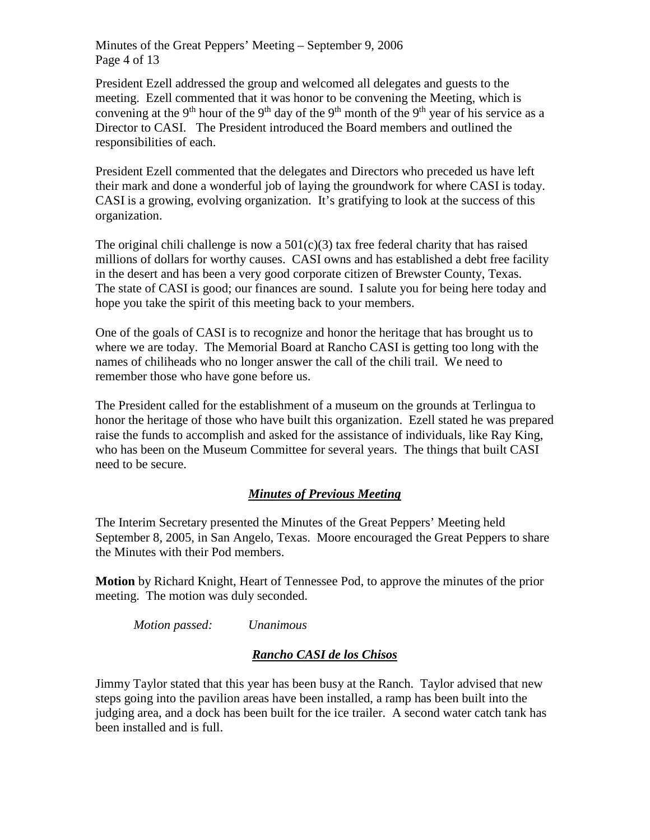Minutes of the Great Peppers' Meeting – September 9, 2006 Page 4 of 13

President Ezell addressed the group and welcomed all delegates and guests to the meeting. Ezell commented that it was honor to be convening the Meeting, which is convening at the 9<sup>th</sup> hour of the 9<sup>th</sup> day of the 9<sup>th</sup> month of the 9<sup>th</sup> year of his service as a Director to CASI. The President introduced the Board members and outlined the responsibilities of each.

President Ezell commented that the delegates and Directors who preceded us have left their mark and done a wonderful job of laying the groundwork for where CASI is today. CASI is a growing, evolving organization. It's gratifying to look at the success of this organization.

The original chili challenge is now a  $501(c)(3)$  tax free federal charity that has raised millions of dollars for worthy causes. CASI owns and has established a debt free facility in the desert and has been a very good corporate citizen of Brewster County, Texas. The state of CASI is good; our finances are sound. I salute you for being here today and hope you take the spirit of this meeting back to your members.

One of the goals of CASI is to recognize and honor the heritage that has brought us to where we are today. The Memorial Board at Rancho CASI is getting too long with the names of chiliheads who no longer answer the call of the chili trail. We need to remember those who have gone before us.

The President called for the establishment of a museum on the grounds at Terlingua to honor the heritage of those who have built this organization. Ezell stated he was prepared raise the funds to accomplish and asked for the assistance of individuals, like Ray King, who has been on the Museum Committee for several years. The things that built CASI need to be secure.

#### *Minutes of Previous Meeting*

The Interim Secretary presented the Minutes of the Great Peppers' Meeting held September 8, 2005, in San Angelo, Texas. Moore encouraged the Great Peppers to share the Minutes with their Pod members.

**Motion** by Richard Knight, Heart of Tennessee Pod, to approve the minutes of the prior meeting. The motion was duly seconded.

*Motion passed: Unanimous*

#### *Rancho CASI de los Chisos*

Jimmy Taylor stated that this year has been busy at the Ranch. Taylor advised that new steps going into the pavilion areas have been installed, a ramp has been built into the judging area, and a dock has been built for the ice trailer. A second water catch tank has been installed and is full.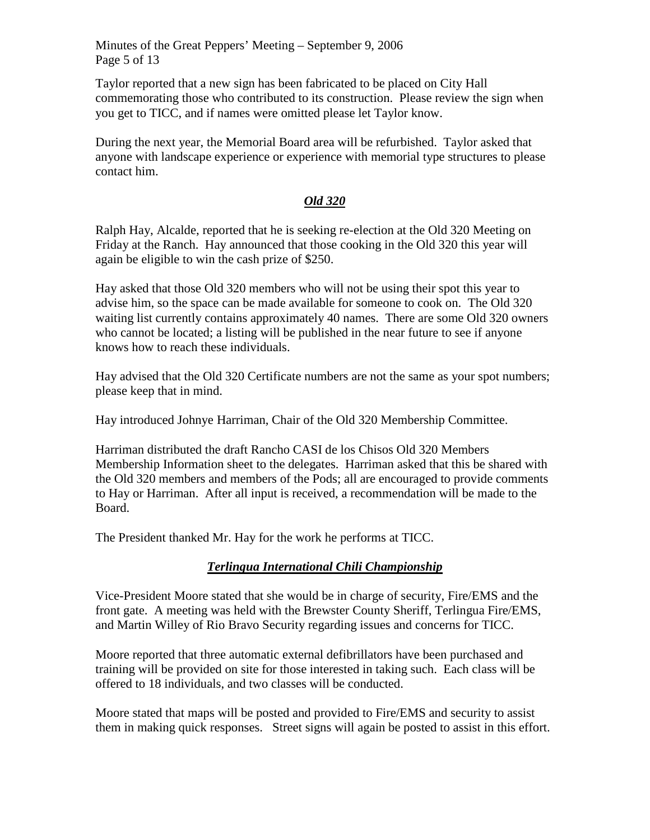Minutes of the Great Peppers' Meeting – September 9, 2006 Page 5 of 13

Taylor reported that a new sign has been fabricated to be placed on City Hall commemorating those who contributed to its construction. Please review the sign when you get to TICC, and if names were omitted please let Taylor know.

During the next year, the Memorial Board area will be refurbished. Taylor asked that anyone with landscape experience or experience with memorial type structures to please contact him.

### *Old 320*

Ralph Hay, Alcalde, reported that he is seeking re-election at the Old 320 Meeting on Friday at the Ranch. Hay announced that those cooking in the Old 320 this year will again be eligible to win the cash prize of \$250.

Hay asked that those Old 320 members who will not be using their spot this year to advise him, so the space can be made available for someone to cook on. The Old 320 waiting list currently contains approximately 40 names. There are some Old 320 owners who cannot be located; a listing will be published in the near future to see if anyone knows how to reach these individuals.

Hay advised that the Old 320 Certificate numbers are not the same as your spot numbers; please keep that in mind.

Hay introduced Johnye Harriman, Chair of the Old 320 Membership Committee.

Harriman distributed the draft Rancho CASI de los Chisos Old 320 Members Membership Information sheet to the delegates. Harriman asked that this be shared with the Old 320 members and members of the Pods; all are encouraged to provide comments to Hay or Harriman. After all input is received, a recommendation will be made to the Board.

The President thanked Mr. Hay for the work he performs at TICC.

# *Terlingua International Chili Championship*

Vice-President Moore stated that she would be in charge of security, Fire/EMS and the front gate. A meeting was held with the Brewster County Sheriff, Terlingua Fire/EMS, and Martin Willey of Rio Bravo Security regarding issues and concerns for TICC.

Moore reported that three automatic external defibrillators have been purchased and training will be provided on site for those interested in taking such. Each class will be offered to 18 individuals, and two classes will be conducted.

Moore stated that maps will be posted and provided to Fire/EMS and security to assist them in making quick responses. Street signs will again be posted to assist in this effort.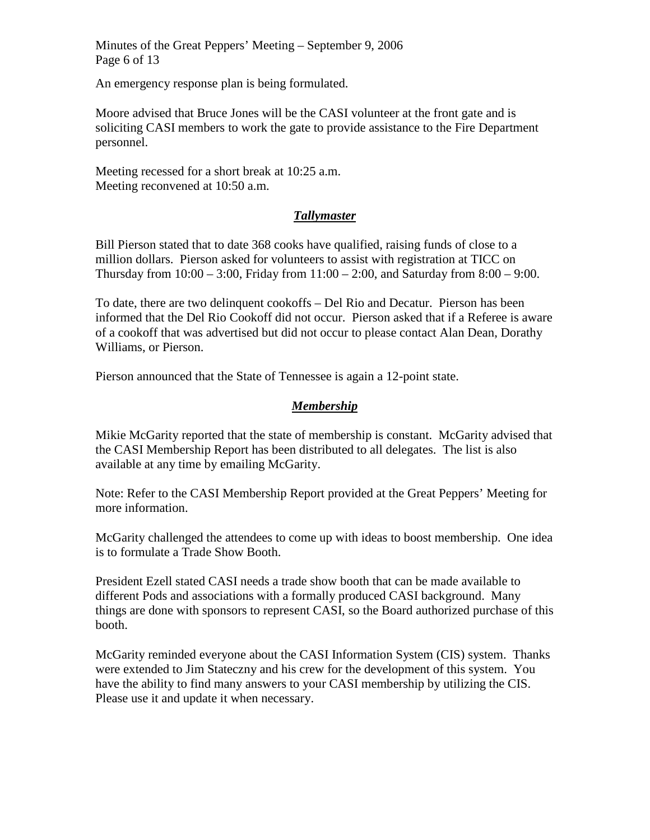Minutes of the Great Peppers' Meeting – September 9, 2006 Page 6 of 13

An emergency response plan is being formulated.

Moore advised that Bruce Jones will be the CASI volunteer at the front gate and is soliciting CASI members to work the gate to provide assistance to the Fire Department personnel.

Meeting recessed for a short break at 10:25 a.m. Meeting reconvened at 10:50 a.m.

### *Tallymaster*

Bill Pierson stated that to date 368 cooks have qualified, raising funds of close to a million dollars. Pierson asked for volunteers to assist with registration at TICC on Thursday from  $10:00 - 3:00$ , Friday from  $11:00 - 2:00$ , and Saturday from  $8:00 - 9:00$ .

To date, there are two delinquent cookoffs – Del Rio and Decatur. Pierson has been informed that the Del Rio Cookoff did not occur. Pierson asked that if a Referee is aware of a cookoff that was advertised but did not occur to please contact Alan Dean, Dorathy Williams, or Pierson.

Pierson announced that the State of Tennessee is again a 12-point state.

### *Membership*

Mikie McGarity reported that the state of membership is constant. McGarity advised that the CASI Membership Report has been distributed to all delegates. The list is also available at any time by emailing McGarity.

Note: Refer to the CASI Membership Report provided at the Great Peppers' Meeting for more information.

McGarity challenged the attendees to come up with ideas to boost membership. One idea is to formulate a Trade Show Booth.

President Ezell stated CASI needs a trade show booth that can be made available to different Pods and associations with a formally produced CASI background. Many things are done with sponsors to represent CASI, so the Board authorized purchase of this booth.

McGarity reminded everyone about the CASI Information System (CIS) system. Thanks were extended to Jim Stateczny and his crew for the development of this system. You have the ability to find many answers to your CASI membership by utilizing the CIS. Please use it and update it when necessary.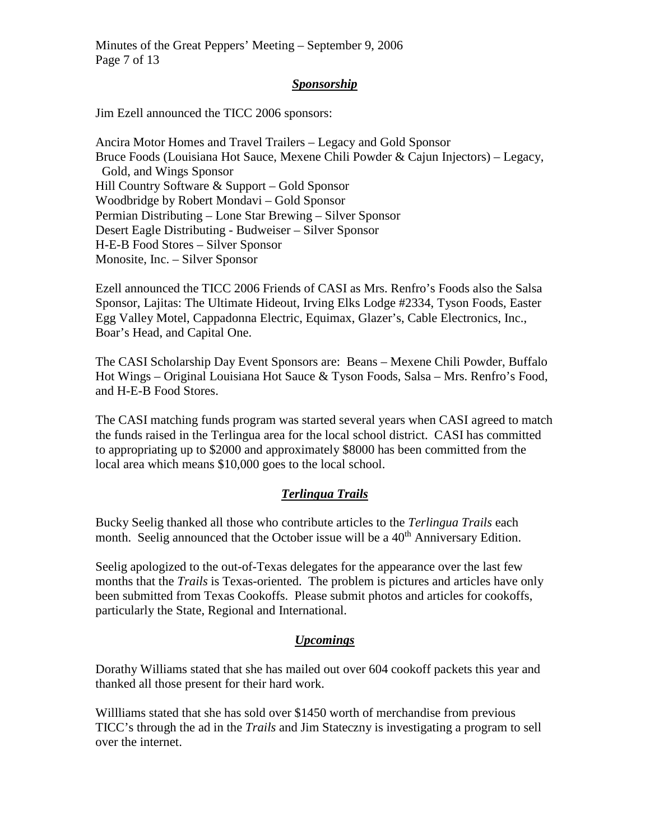Minutes of the Great Peppers' Meeting – September 9, 2006 Page 7 of 13

#### *Sponsorship*

Jim Ezell announced the TICC 2006 sponsors:

Ancira Motor Homes and Travel Trailers – Legacy and Gold Sponsor Bruce Foods (Louisiana Hot Sauce, Mexene Chili Powder & Cajun Injectors) – Legacy, Gold, and Wings Sponsor Hill Country Software & Support – Gold Sponsor Woodbridge by Robert Mondavi – Gold Sponsor Permian Distributing – Lone Star Brewing – Silver Sponsor Desert Eagle Distributing - Budweiser – Silver Sponsor H-E-B Food Stores – Silver Sponsor Monosite, Inc. – Silver Sponsor

Ezell announced the TICC 2006 Friends of CASI as Mrs. Renfro's Foods also the Salsa Sponsor, Lajitas: The Ultimate Hideout, Irving Elks Lodge #2334, Tyson Foods, Easter Egg Valley Motel, Cappadonna Electric, Equimax, Glazer's, Cable Electronics, Inc., Boar's Head, and Capital One.

The CASI Scholarship Day Event Sponsors are: Beans – Mexene Chili Powder, Buffalo Hot Wings – Original Louisiana Hot Sauce & Tyson Foods, Salsa – Mrs. Renfro's Food, and H-E-B Food Stores.

The CASI matching funds program was started several years when CASI agreed to match the funds raised in the Terlingua area for the local school district. CASI has committed to appropriating up to \$2000 and approximately \$8000 has been committed from the local area which means \$10,000 goes to the local school.

# *Terlingua Trails*

Bucky Seelig thanked all those who contribute articles to the *Terlingua Trails* each month. Seelig announced that the October issue will be a  $40<sup>th</sup>$  Anniversary Edition.

Seelig apologized to the out-of-Texas delegates for the appearance over the last few months that the *Trails* is Texas-oriented. The problem is pictures and articles have only been submitted from Texas Cookoffs. Please submit photos and articles for cookoffs, particularly the State, Regional and International.

#### *Upcomings*

Dorathy Williams stated that she has mailed out over 604 cookoff packets this year and thanked all those present for their hard work.

Willliams stated that she has sold over \$1450 worth of merchandise from previous TICC's through the ad in the *Trails* and Jim Stateczny is investigating a program to sell over the internet.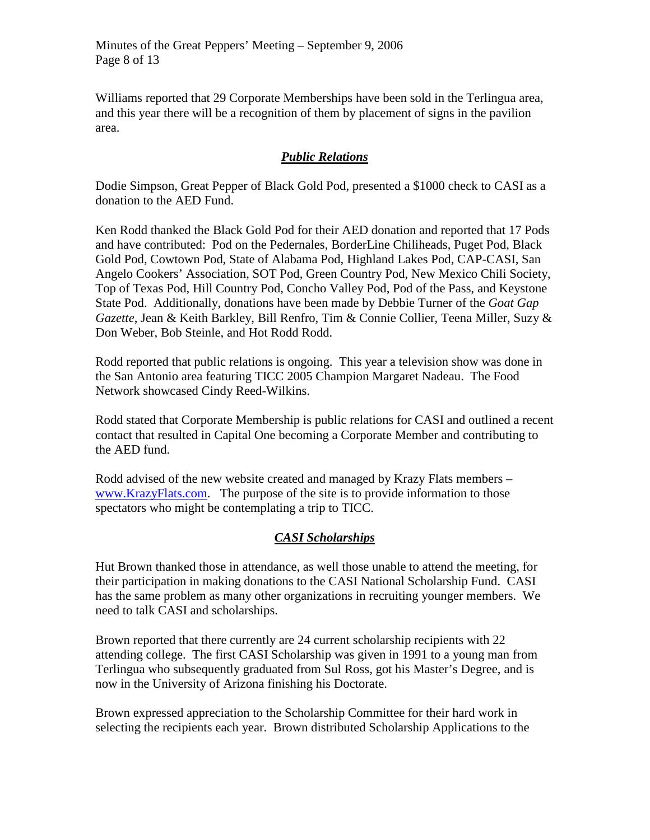Williams reported that 29 Corporate Memberships have been sold in the Terlingua area, and this year there will be a recognition of them by placement of signs in the pavilion area.

## *Public Relations*

Dodie Simpson, Great Pepper of Black Gold Pod, presented a \$1000 check to CASI as a donation to the AED Fund.

Ken Rodd thanked the Black Gold Pod for their AED donation and reported that 17 Pods and have contributed: Pod on the Pedernales, BorderLine Chiliheads, Puget Pod, Black Gold Pod, Cowtown Pod, State of Alabama Pod, Highland Lakes Pod, CAP-CASI, San Angelo Cookers' Association, SOT Pod, Green Country Pod, New Mexico Chili Society, Top of Texas Pod, Hill Country Pod, Concho Valley Pod, Pod of the Pass, and Keystone State Pod. Additionally, donations have been made by Debbie Turner of the *Goat Gap Gazette*, Jean & Keith Barkley, Bill Renfro, Tim & Connie Collier, Teena Miller, Suzy & Don Weber, Bob Steinle, and Hot Rodd Rodd.

Rodd reported that public relations is ongoing. This year a television show was done in the San Antonio area featuring TICC 2005 Champion Margaret Nadeau. The Food Network showcased Cindy Reed-Wilkins.

Rodd stated that Corporate Membership is public relations for CASI and outlined a recent contact that resulted in Capital One becoming a Corporate Member and contributing to the AED fund.

Rodd advised of the new website created and managed by Krazy Flats members – [www.KrazyFlats.com.](http://www.krazyflats.com/) The purpose of the site is to provide information to those spectators who might be contemplating a trip to TICC.

# *CASI Scholarships*

Hut Brown thanked those in attendance, as well those unable to attend the meeting, for their participation in making donations to the CASI National Scholarship Fund. CASI has the same problem as many other organizations in recruiting younger members. We need to talk CASI and scholarships.

Brown reported that there currently are 24 current scholarship recipients with 22 attending college. The first CASI Scholarship was given in 1991 to a young man from Terlingua who subsequently graduated from Sul Ross, got his Master's Degree, and is now in the University of Arizona finishing his Doctorate.

Brown expressed appreciation to the Scholarship Committee for their hard work in selecting the recipients each year. Brown distributed Scholarship Applications to the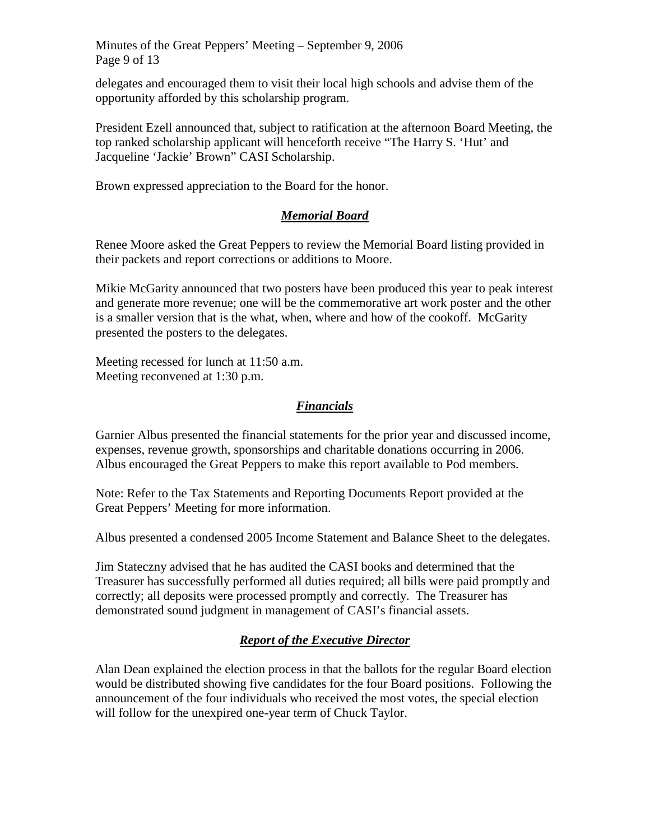Minutes of the Great Peppers' Meeting – September 9, 2006 Page 9 of 13

delegates and encouraged them to visit their local high schools and advise them of the opportunity afforded by this scholarship program.

President Ezell announced that, subject to ratification at the afternoon Board Meeting, the top ranked scholarship applicant will henceforth receive "The Harry S. 'Hut' and Jacqueline 'Jackie' Brown" CASI Scholarship.

Brown expressed appreciation to the Board for the honor.

# *Memorial Board*

Renee Moore asked the Great Peppers to review the Memorial Board listing provided in their packets and report corrections or additions to Moore.

Mikie McGarity announced that two posters have been produced this year to peak interest and generate more revenue; one will be the commemorative art work poster and the other is a smaller version that is the what, when, where and how of the cookoff. McGarity presented the posters to the delegates.

Meeting recessed for lunch at 11:50 a.m. Meeting reconvened at 1:30 p.m.

# *Financials*

Garnier Albus presented the financial statements for the prior year and discussed income, expenses, revenue growth, sponsorships and charitable donations occurring in 2006. Albus encouraged the Great Peppers to make this report available to Pod members.

Note: Refer to the Tax Statements and Reporting Documents Report provided at the Great Peppers' Meeting for more information.

Albus presented a condensed 2005 Income Statement and Balance Sheet to the delegates.

Jim Stateczny advised that he has audited the CASI books and determined that the Treasurer has successfully performed all duties required; all bills were paid promptly and correctly; all deposits were processed promptly and correctly. The Treasurer has demonstrated sound judgment in management of CASI's financial assets.

# *Report of the Executive Director*

Alan Dean explained the election process in that the ballots for the regular Board election would be distributed showing five candidates for the four Board positions. Following the announcement of the four individuals who received the most votes, the special election will follow for the unexpired one-year term of Chuck Taylor.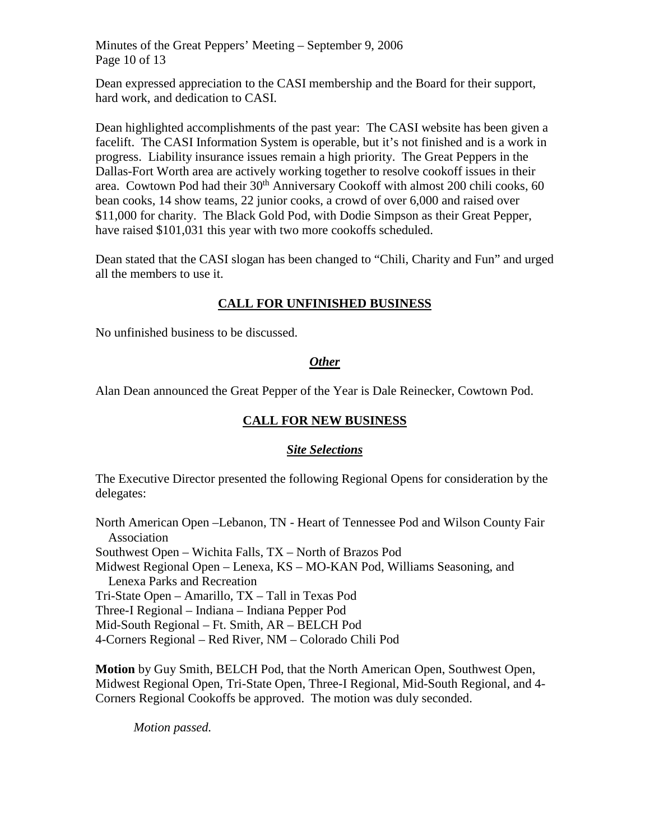Minutes of the Great Peppers' Meeting – September 9, 2006 Page 10 of 13

Dean expressed appreciation to the CASI membership and the Board for their support, hard work, and dedication to CASI.

Dean highlighted accomplishments of the past year: The CASI website has been given a facelift. The CASI Information System is operable, but it's not finished and is a work in progress. Liability insurance issues remain a high priority. The Great Peppers in the Dallas-Fort Worth area are actively working together to resolve cookoff issues in their area. Cowtown Pod had their  $30<sup>th</sup>$  Anniversary Cookoff with almost 200 chili cooks, 60 bean cooks, 14 show teams, 22 junior cooks, a crowd of over 6,000 and raised over \$11,000 for charity. The Black Gold Pod, with Dodie Simpson as their Great Pepper, have raised \$101,031 this year with two more cookoffs scheduled.

Dean stated that the CASI slogan has been changed to "Chili, Charity and Fun" and urged all the members to use it.

# **CALL FOR UNFINISHED BUSINESS**

No unfinished business to be discussed.

### *Other*

Alan Dean announced the Great Pepper of the Year is Dale Reinecker, Cowtown Pod.

# **CALL FOR NEW BUSINESS**

#### *Site Selections*

The Executive Director presented the following Regional Opens for consideration by the delegates:

North American Open –Lebanon, TN - Heart of Tennessee Pod and Wilson County Fair Association Southwest Open – Wichita Falls, TX – North of Brazos Pod Midwest Regional Open – Lenexa, KS – MO-KAN Pod, Williams Seasoning, and Lenexa Parks and Recreation Tri-State Open – Amarillo, TX – Tall in Texas Pod Three-I Regional – Indiana – Indiana Pepper Pod Mid-South Regional – Ft. Smith, AR – BELCH Pod 4-Corners Regional – Red River, NM – Colorado Chili Pod

**Motion** by Guy Smith, BELCH Pod, that the North American Open, Southwest Open, Midwest Regional Open, Tri-State Open, Three-I Regional, Mid-South Regional, and 4- Corners Regional Cookoffs be approved. The motion was duly seconded.

*Motion passed.*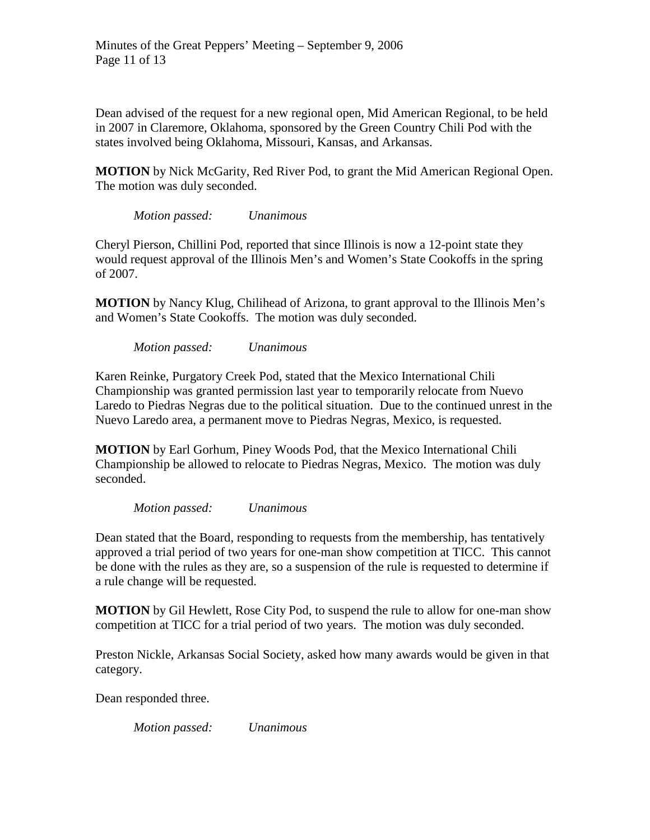Dean advised of the request for a new regional open, Mid American Regional, to be held in 2007 in Claremore, Oklahoma, sponsored by the Green Country Chili Pod with the states involved being Oklahoma, Missouri, Kansas, and Arkansas.

**MOTION** by Nick McGarity, Red River Pod, to grant the Mid American Regional Open. The motion was duly seconded.

*Motion passed: Unanimous*

Cheryl Pierson, Chillini Pod, reported that since Illinois is now a 12-point state they would request approval of the Illinois Men's and Women's State Cookoffs in the spring of 2007.

**MOTION** by Nancy Klug, Chilihead of Arizona, to grant approval to the Illinois Men's and Women's State Cookoffs. The motion was duly seconded.

*Motion passed: Unanimous*

Karen Reinke, Purgatory Creek Pod, stated that the Mexico International Chili Championship was granted permission last year to temporarily relocate from Nuevo Laredo to Piedras Negras due to the political situation. Due to the continued unrest in the Nuevo Laredo area, a permanent move to Piedras Negras, Mexico, is requested.

**MOTION** by Earl Gorhum, Piney Woods Pod, that the Mexico International Chili Championship be allowed to relocate to Piedras Negras, Mexico. The motion was duly seconded.

*Motion passed: Unanimous*

Dean stated that the Board, responding to requests from the membership, has tentatively approved a trial period of two years for one-man show competition at TICC. This cannot be done with the rules as they are, so a suspension of the rule is requested to determine if a rule change will be requested.

**MOTION** by Gil Hewlett, Rose City Pod, to suspend the rule to allow for one-man show competition at TICC for a trial period of two years. The motion was duly seconded.

Preston Nickle, Arkansas Social Society, asked how many awards would be given in that category.

Dean responded three.

*Motion passed: Unanimous*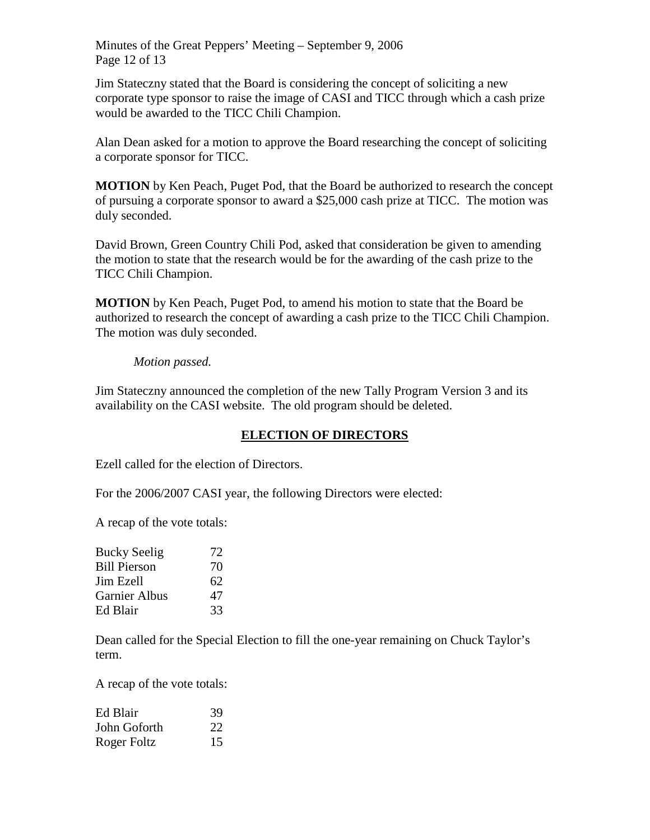Minutes of the Great Peppers' Meeting – September 9, 2006 Page 12 of 13

Jim Stateczny stated that the Board is considering the concept of soliciting a new corporate type sponsor to raise the image of CASI and TICC through which a cash prize would be awarded to the TICC Chili Champion.

Alan Dean asked for a motion to approve the Board researching the concept of soliciting a corporate sponsor for TICC.

**MOTION** by Ken Peach, Puget Pod, that the Board be authorized to research the concept of pursuing a corporate sponsor to award a \$25,000 cash prize at TICC. The motion was duly seconded.

David Brown, Green Country Chili Pod, asked that consideration be given to amending the motion to state that the research would be for the awarding of the cash prize to the TICC Chili Champion.

**MOTION** by Ken Peach, Puget Pod, to amend his motion to state that the Board be authorized to research the concept of awarding a cash prize to the TICC Chili Champion. The motion was duly seconded.

#### *Motion passed.*

Jim Stateczny announced the completion of the new Tally Program Version 3 and its availability on the CASI website. The old program should be deleted.

#### **ELECTION OF DIRECTORS**

Ezell called for the election of Directors.

For the 2006/2007 CASI year, the following Directors were elected:

A recap of the vote totals:

| <b>Bucky Seelig</b>  | 72 |
|----------------------|----|
| <b>Bill Pierson</b>  | 70 |
| Jim Ezell            | 62 |
| <b>Garnier Albus</b> | 47 |
| Ed Blair             | 33 |

Dean called for the Special Election to fill the one-year remaining on Chuck Taylor's term.

A recap of the vote totals:

| Ed Blair     | 39 |
|--------------|----|
| John Goforth | 22 |
| Roger Foltz  | 15 |